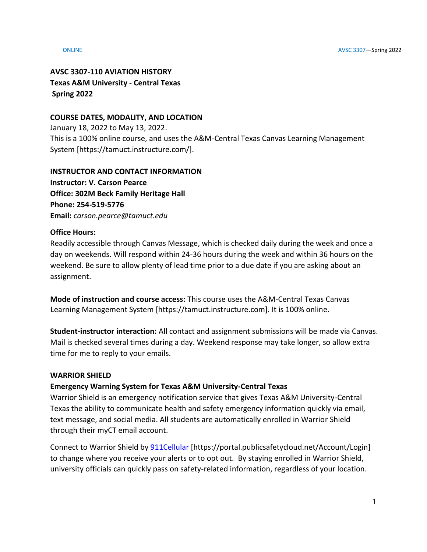# **AVSC 3307-110 AVIATION HISTORY Texas A&M University - Central Texas Spring 2022**

# **COURSE DATES, MODALITY, AND LOCATION**

January 18, 2022 to May 13, 2022. This is a 100% online course, and uses the A&M-Central Texas Canvas Learning Management System [https://tamuct.instructure.com/].

### **INSTRUCTOR AND CONTACT INFORMATION Instructor: V. Carson Pearce**

**Office: 302M Beck Family Heritage Hall Phone: 254-519-5776 Email:** *carson.pearce@tamuct.edu*

# **Office Hours:**

Readily accessible through Canvas Message, which is checked daily during the week and once a day on weekends. Will respond within 24-36 hours during the week and within 36 hours on the weekend. Be sure to allow plenty of lead time prior to a due date if you are asking about an assignment.

**Mode of instruction and course access:** This course uses the A&M-Central Texas Canvas Learning Management System [https://tamuct.instructure.com]. It is 100% online.

**Student-instructor interaction:** All contact and assignment submissions will be made via Canvas. Mail is checked several times during a day. Weekend response may take longer, so allow extra time for me to reply to your emails.

# **WARRIOR SHIELD**

# **Emergency Warning System for Texas A&M University-Central Texas**

Warrior Shield is an emergency notification service that gives Texas A&M University-Central Texas the ability to communicate health and safety emergency information quickly via email, text message, and social media. All students are automatically enrolled in Warrior Shield through their myCT email account.

Connect to Warrior Shield b[y 911Cellular](https://portal.publicsafetycloud.net/Texas-AM-Central/alert-management) [https://portal.publicsafetycloud.net/Account/Login] to change where you receive your alerts or to opt out. By staying enrolled in Warrior Shield, university officials can quickly pass on safety-related information, regardless of your location.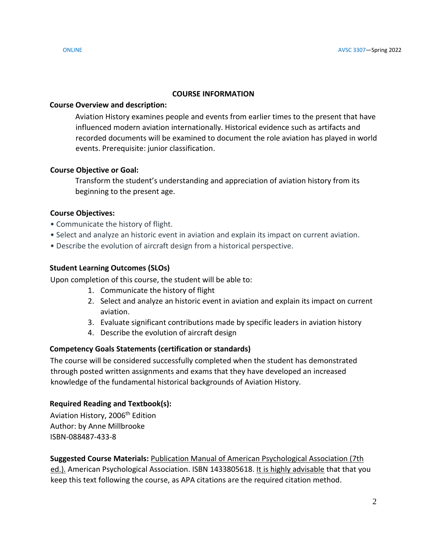# **COURSE INFORMATION**

## **Course Overview and description:**

Aviation History examines people and events from earlier times to the present that have influenced modern aviation internationally. Historical evidence such as artifacts and recorded documents will be examined to document the role aviation has played in world events. Prerequisite: junior classification.

# **Course Objective or Goal:**

Transform the student's understanding and appreciation of aviation history from its beginning to the present age.

# **Course Objectives:**

- Communicate the history of flight.
- Select and analyze an historic event in aviation and explain its impact on current aviation.
- Describe the evolution of aircraft design from a historical perspective.

# **Student Learning Outcomes (SLOs)**

Upon completion of this course, the student will be able to:

- 1. Communicate the history of flight
- 2. Select and analyze an historic event in aviation and explain its impact on current aviation.
- 3. Evaluate significant contributions made by specific leaders in aviation history
- 4. Describe the evolution of aircraft design

# **Competency Goals Statements (certification or standards)**

The course will be considered successfully completed when the student has demonstrated through posted written assignments and exams that they have developed an increased knowledge of the fundamental historical backgrounds of Aviation History.

# **Required Reading and Textbook(s):**

Aviation History, 2006<sup>th</sup> Edition Author: by Anne Millbrooke ISBN-088487-433-8

**Suggested Course Materials:** Publication Manual of American Psychological Association (7th ed.). American Psychological Association. ISBN 1433805618. It is highly advisable that that you keep this text following the course, as APA citations are the required citation method.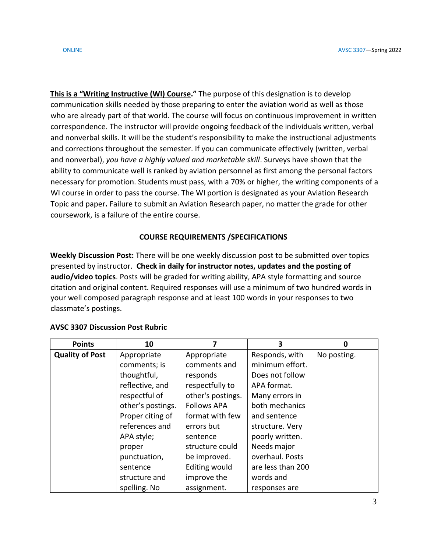**This is a "Writing Instructive (WI) Course."** The purpose of this designation is to develop communication skills needed by those preparing to enter the aviation world as well as those who are already part of that world. The course will focus on continuous improvement in written correspondence. The instructor will provide ongoing feedback of the individuals written, verbal and nonverbal skills. It will be the student's responsibility to make the instructional adjustments and corrections throughout the semester. If you can communicate effectively (written, verbal and nonverbal), *you have a highly valued and marketable skill*. Surveys have shown that the ability to communicate well is ranked by aviation personnel as first among the personal factors necessary for promotion. Students must pass, with a 70% or higher, the writing components of a WI course in order to pass the course. The WI portion is designated as your Aviation Research Topic and paper**.** Failure to submit an Aviation Research paper, no matter the grade for other coursework, is a failure of the entire course.

# **COURSE REQUIREMENTS /SPECIFICATIONS**

**Weekly Discussion Post:** There will be one weekly discussion post to be submitted over topics presented by instructor. **Check in daily for instructor notes, updates and the posting of audio/video topics**. Posts will be graded for writing ability, APA style formatting and source citation and original content. Required responses will use a minimum of two hundred words in your well composed paragraph response and at least 100 words in your responses to two classmate's postings.

| <b>Points</b>          | 10                |                    | 3                 | Ω           |
|------------------------|-------------------|--------------------|-------------------|-------------|
| <b>Quality of Post</b> | Appropriate       | Appropriate        | Responds, with    | No posting. |
|                        | comments; is      | comments and       | minimum effort.   |             |
|                        | thoughtful,       | responds           | Does not follow   |             |
|                        | reflective, and   | respectfully to    | APA format.       |             |
|                        | respectful of     | other's postings.  | Many errors in    |             |
|                        | other's postings. | <b>Follows APA</b> | both mechanics    |             |
|                        | Proper citing of  | format with few    | and sentence      |             |
|                        | references and    | errors but         | structure. Very   |             |
|                        | APA style;        | sentence           | poorly written.   |             |
|                        | proper            | structure could    | Needs major       |             |
|                        | punctuation,      | be improved.       | overhaul. Posts   |             |
|                        | sentence          | Editing would      | are less than 200 |             |
|                        | structure and     | improve the        | words and         |             |
|                        | spelling. No      | assignment.        | responses are     |             |

### **AVSC 3307 Discussion Post Rubric**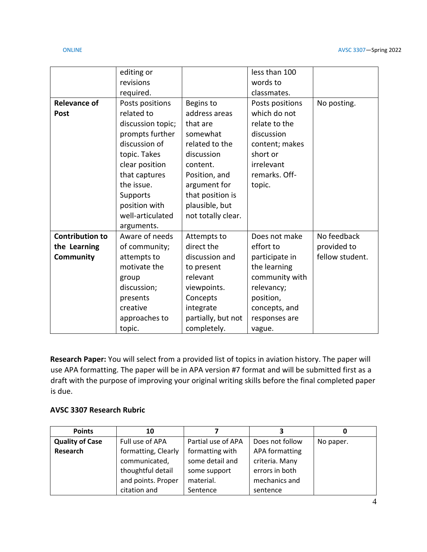|                        | editing or        |                    | less than 100   |                 |
|------------------------|-------------------|--------------------|-----------------|-----------------|
|                        | revisions         |                    | words to        |                 |
|                        | required.         |                    | classmates.     |                 |
| <b>Relevance of</b>    | Posts positions   | Begins to          | Posts positions | No posting.     |
| Post                   | related to        | address areas      | which do not    |                 |
|                        | discussion topic; | that are           | relate to the   |                 |
|                        | prompts further   | somewhat           | discussion      |                 |
|                        | discussion of     | related to the     | content; makes  |                 |
|                        | topic. Takes      | discussion         | short or        |                 |
|                        | clear position    | content.           | irrelevant      |                 |
|                        | that captures     | Position, and      | remarks. Off-   |                 |
|                        | the issue.        | argument for       | topic.          |                 |
|                        | Supports          | that position is   |                 |                 |
|                        | position with     | plausible, but     |                 |                 |
|                        | well-articulated  | not totally clear. |                 |                 |
|                        | arguments.        |                    |                 |                 |
| <b>Contribution to</b> | Aware of needs    | Attempts to        | Does not make   | No feedback     |
| the Learning           | of community;     | direct the         | effort to       | provided to     |
| Community              | attempts to       | discussion and     | participate in  | fellow student. |
|                        | motivate the      | to present         | the learning    |                 |
|                        | group             | relevant           | community with  |                 |
|                        | discussion;       | viewpoints.        | relevancy;      |                 |
|                        | presents          | Concepts           | position,       |                 |
|                        | creative          | integrate          | concepts, and   |                 |
|                        | approaches to     | partially, but not | responses are   |                 |
|                        | topic.            | completely.        | vague.          |                 |

**Research Paper:** You will select from a provided list of topics in aviation history. The paper will use APA formatting. The paper will be in APA version #7 format and will be submitted first as a draft with the purpose of improving your original writing skills before the final completed paper is due.

# **AVSC 3307 Research Rubric**

| <b>Points</b>          | 10                  |                    | 3                     |           |
|------------------------|---------------------|--------------------|-----------------------|-----------|
| <b>Quality of Case</b> | Full use of APA     | Partial use of APA | Does not follow       | No paper. |
| Research               | formatting, Clearly | formatting with    | <b>APA formatting</b> |           |
|                        | communicated,       | some detail and    | criteria. Many        |           |
|                        | thoughtful detail   | some support       | errors in both        |           |
|                        | and points. Proper  | material.          | mechanics and         |           |
|                        | citation and        | Sentence           | sentence              |           |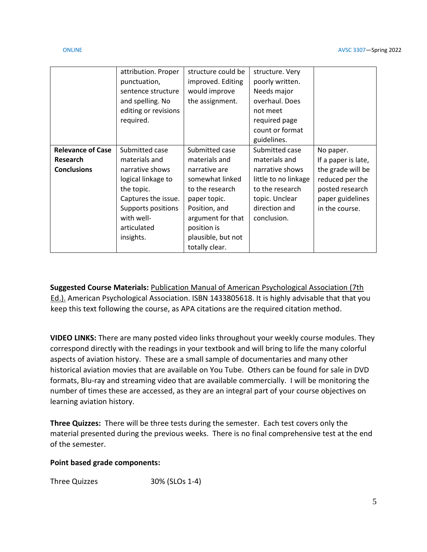|                          | attribution. Proper  | structure could be | structure. Very      |                     |
|--------------------------|----------------------|--------------------|----------------------|---------------------|
|                          | punctuation,         | improved. Editing  | poorly written.      |                     |
|                          | sentence structure   | would improve      | Needs major          |                     |
|                          | and spelling. No     | the assignment.    | overhaul. Does       |                     |
|                          | editing or revisions |                    | not meet             |                     |
|                          | required.            |                    | required page        |                     |
|                          |                      |                    | count or format      |                     |
|                          |                      |                    | guidelines.          |                     |
| <b>Relevance of Case</b> | Submitted case       | Submitted case     | Submitted case       | No paper.           |
| <b>Research</b>          | materials and        | materials and      | materials and        | If a paper is late, |
| <b>Conclusions</b>       | narrative shows      | narrative are      | narrative shows      | the grade will be   |
|                          | logical linkage to   | somewhat linked    | little to no linkage | reduced per the     |
|                          | the topic.           | to the research    | to the research      | posted research     |
|                          | Captures the issue.  | paper topic.       | topic. Unclear       | paper guidelines    |
|                          | Supports positions   | Position, and      | direction and        | in the course.      |
|                          | with well-           | argument for that  | conclusion.          |                     |
|                          | articulated          | position is        |                      |                     |
|                          | insights.            | plausible, but not |                      |                     |
|                          |                      | totally clear.     |                      |                     |

**Suggested Course Materials:** Publication Manual of American Psychological Association (7th Ed.). American Psychological Association. ISBN 1433805618. It is highly advisable that that you keep this text following the course, as APA citations are the required citation method.

**VIDEO LINKS:** There are many posted video links throughout your weekly course modules. They correspond directly with the readings in your textbook and will bring to life the many colorful aspects of aviation history. These are a small sample of documentaries and many other historical aviation movies that are available on You Tube. Others can be found for sale in DVD formats, Blu-ray and streaming video that are available commercially. I will be monitoring the number of times these are accessed, as they are an integral part of your course objectives on learning aviation history.

**Three Quizzes:** There will be three tests during the semester. Each test covers only the material presented during the previous weeks. There is no final comprehensive test at the end of the semester.

# **Point based grade components:**

Three Quizzes 30% (SLOs 1-4)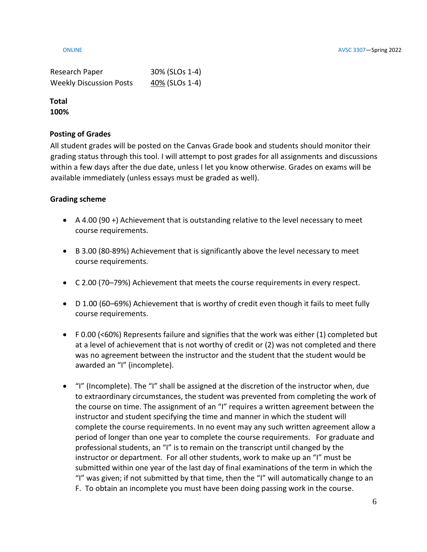| Research Paper                 | 30% (SLOs 1-4) |
|--------------------------------|----------------|
| <b>Weekly Discussion Posts</b> | 40% (SLOs 1-4) |

**Total 100%**

# **Posting of Grades**

All student grades will be posted on the Canvas Grade book and students should monitor their grading status through this tool. I will attempt to post grades for all assignments and discussions within a few days after the due date, unless I let you know otherwise. Grades on exams will be available immediately (unless essays must be graded as well).

# **Grading scheme**

- A 4.00 (90 +) Achievement that is outstanding relative to the level necessary to meet course requirements.
- B 3.00 (80-89%) Achievement that is significantly above the level necessary to meet course requirements.
- C 2.00 (70–79%) Achievement that meets the course requirements in every respect.
- D 1.00 (60–69%) Achievement that is worthy of credit even though it fails to meet fully course requirements.
- F 0.00 (<60%) Represents failure and signifies that the work was either (1) completed but at a level of achievement that is not worthy of credit or (2) was not completed and there was no agreement between the instructor and the student that the student would be awarded an "I" (incomplete).
- "I" (Incomplete). The "I" shall be assigned at the discretion of the instructor when, due to extraordinary circumstances, the student was prevented from completing the work of the course on time. The assignment of an "I" requires a written agreement between the instructor and student specifying the time and manner in which the student will complete the course requirements. In no event may any such written agreement allow a period of longer than one year to complete the course requirements. For graduate and professional students, an "I" is to remain on the transcript until changed by the instructor or department. For all other students, work to make up an "I" must be submitted within one year of the last day of final examinations of the term in which the "I" was given; if not submitted by that time, then the "I" will automatically change to an F. To obtain an incomplete you must have been doing passing work in the course.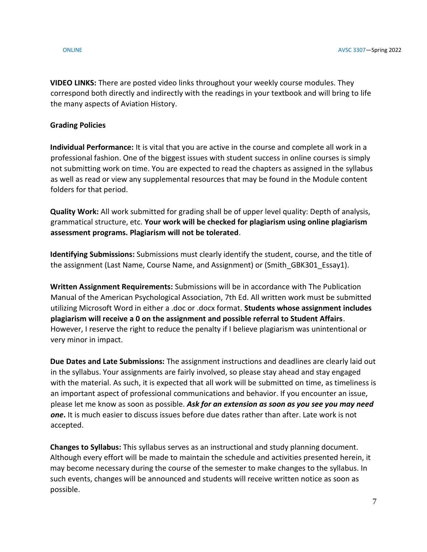**VIDEO LINKS:** There are posted video links throughout your weekly course modules. They correspond both directly and indirectly with the readings in your textbook and will bring to life the many aspects of Aviation History.

# **Grading Policies**

**Individual Performance:** It is vital that you are active in the course and complete all work in a professional fashion. One of the biggest issues with student success in online courses is simply not submitting work on time. You are expected to read the chapters as assigned in the syllabus as well as read or view any supplemental resources that may be found in the Module content folders for that period.

**Quality Work:** All work submitted for grading shall be of upper level quality: Depth of analysis, grammatical structure, etc. **Your work will be checked for plagiarism using online plagiarism assessment programs. Plagiarism will not be tolerated**.

**Identifying Submissions:** Submissions must clearly identify the student, course, and the title of the assignment (Last Name, Course Name, and Assignment) or (Smith GBK301 Essay1).

**Written Assignment Requirements:** Submissions will be in accordance with The Publication Manual of the American Psychological Association, 7th Ed. All written work must be submitted utilizing Microsoft Word in either a .doc or .docx format. **Students whose assignment includes plagiarism will receive a 0 on the assignment and possible referral to Student Affairs**. However, I reserve the right to reduce the penalty if I believe plagiarism was unintentional or very minor in impact.

**Due Dates and Late Submissions:** The assignment instructions and deadlines are clearly laid out in the syllabus. Your assignments are fairly involved, so please stay ahead and stay engaged with the material. As such, it is expected that all work will be submitted on time, as timeliness is an important aspect of professional communications and behavior. If you encounter an issue, please let me know as soon as possible. *Ask for an extension as soon as you see you may need one***.** It is much easier to discuss issues before due dates rather than after. Late work is not accepted.

**Changes to Syllabus:** This syllabus serves as an instructional and study planning document. Although every effort will be made to maintain the schedule and activities presented herein, it may become necessary during the course of the semester to make changes to the syllabus. In such events, changes will be announced and students will receive written notice as soon as possible.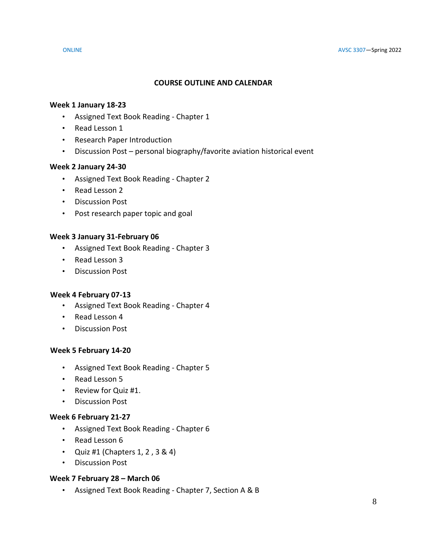# **COURSE OUTLINE AND CALENDAR**

### **Week 1 January 18-23**

- Assigned Text Book Reading Chapter 1
- Read Lesson 1
- Research Paper Introduction
- Discussion Post personal biography/favorite aviation historical event

### **Week 2 January 24-30**

- Assigned Text Book Reading Chapter 2
- Read Lesson 2
- Discussion Post
- Post research paper topic and goal

### **Week 3 January 31-February 06**

- Assigned Text Book Reading Chapter 3
- Read Lesson 3
- Discussion Post

### **Week 4 February 07-13**

- Assigned Text Book Reading Chapter 4
- Read Lesson 4
- Discussion Post

### **Week 5 February 14-20**

- Assigned Text Book Reading Chapter 5
- Read Lesson 5
- Review for Quiz #1.
- Discussion Post

### **Week 6 February 21-27**

- Assigned Text Book Reading Chapter 6
- Read Lesson 6
- Quiz #1 (Chapters  $1, 2, 3 \& 4$ )
- Discussion Post

### **Week 7 February 28 – March 06**

• Assigned Text Book Reading - Chapter 7, Section A & B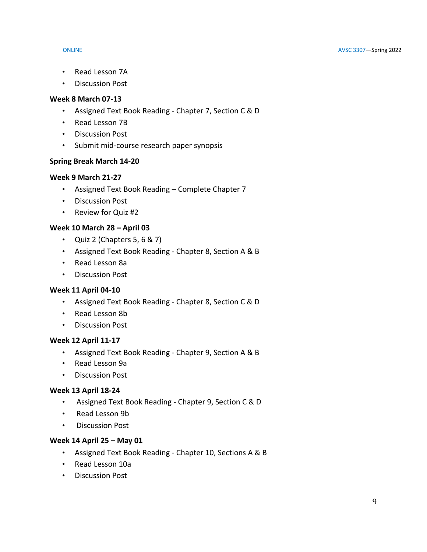- Read Lesson 7A
- Discussion Post

# **Week 8 March 07-13**

- Assigned Text Book Reading Chapter 7, Section C & D
- Read Lesson 7B
- Discussion Post
- Submit mid-course research paper synopsis

# **Spring Break March 14-20**

# **Week 9 March 21-27**

- Assigned Text Book Reading Complete Chapter 7
- Discussion Post
- Review for Quiz #2

# **Week 10 March 28 – April 03**

- Quiz 2 (Chapters  $5, 6 \& 7$ )
- Assigned Text Book Reading Chapter 8, Section A & B
- Read Lesson 8a
- Discussion Post

# **Week 11 April 04-10**

- Assigned Text Book Reading Chapter 8, Section C & D
- Read Lesson 8b
- Discussion Post

# **Week 12 April 11-17**

- Assigned Text Book Reading Chapter 9, Section A & B
- Read Lesson 9a
- Discussion Post

# **Week 13 April 18-24**

- Assigned Text Book Reading Chapter 9, Section C & D
- Read Lesson 9b
- Discussion Post

# **Week 14 April 25 – May 01**

- Assigned Text Book Reading Chapter 10, Sections A & B
- Read Lesson 10a
- Discussion Post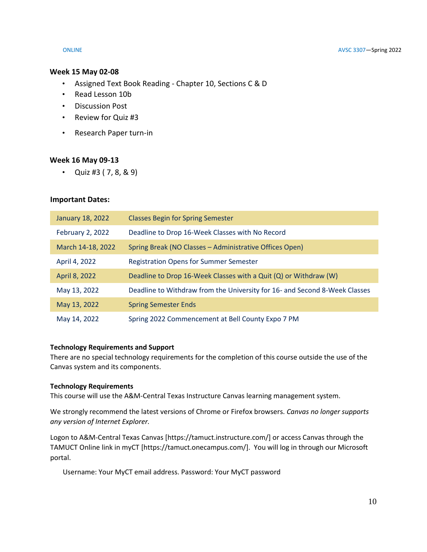#### **Week 15 May 02-08**

- Assigned Text Book Reading Chapter 10, Sections C & D
- Read Lesson 10b
- Discussion Post
- Review for Quiz #3
- Research Paper turn-in

#### **Week 16 May 09-13**

• Quiz #3  $(7, 8, 8, 9)$ 

#### **Important Dates:**

| January 18, 2022        | <b>Classes Begin for Spring Semester</b>                                   |
|-------------------------|----------------------------------------------------------------------------|
| <b>February 2, 2022</b> | Deadline to Drop 16-Week Classes with No Record                            |
| March 14-18, 2022       | Spring Break (NO Classes - Administrative Offices Open)                    |
| April 4, 2022           | <b>Registration Opens for Summer Semester</b>                              |
| April 8, 2022           | Deadline to Drop 16-Week Classes with a Quit (Q) or Withdraw (W)           |
| May 13, 2022            | Deadline to Withdraw from the University for 16- and Second 8-Week Classes |
| May 13, 2022            | <b>Spring Semester Ends</b>                                                |
| May 14, 2022            | Spring 2022 Commencement at Bell County Expo 7 PM                          |

#### **Technology Requirements and Support**

There are no special technology requirements for the completion of this course outside the use of the Canvas system and its components.

#### **Technology Requirements**

This course will use the A&M-Central Texas Instructure Canvas learning management system.

We strongly recommend the latest versions of Chrome or Firefox browsers. *Canvas no longer supports any version of Internet Explorer.*

Logon to A&M-Central Texas Canvas [https://tamuct.instructure.com/] or access Canvas through the TAMUCT Online link in myCT [https://tamuct.onecampus.com/]. You will log in through our Microsoft portal.

Username: Your MyCT email address. Password: Your MyCT password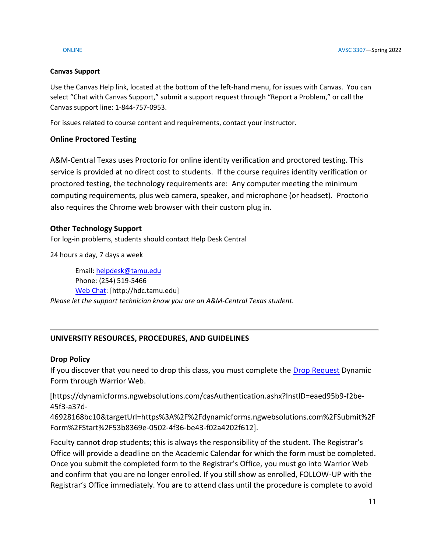### **Canvas Support**

Use the Canvas Help link, located at the bottom of the left-hand menu, for issues with Canvas. You can select "Chat with Canvas Support," submit a support request through "Report a Problem," or call the Canvas support line: 1-844-757-0953.

For issues related to course content and requirements, contact your instructor.

# **Online Proctored Testing**

A&M-Central Texas uses Proctorio for online identity verification and proctored testing. This service is provided at no direct cost to students. If the course requires identity verification or proctored testing, the technology requirements are: Any computer meeting the minimum computing requirements, plus web camera, speaker, and microphone (or headset). Proctorio also requires the Chrome web browser with their custom plug in.

# **Other Technology Support**

For log-in problems, students should contact Help Desk Central

24 hours a day, 7 days a week

Email: [helpdesk@tamu.edu](mailto:helpdesk@tamu.edu) Phone: (254) 519-5466 [Web Chat:](http://hdc.tamu.edu/) [http://hdc.tamu.edu] *Please let the support technician know you are an A&M-Central Texas student.*

# **UNIVERSITY RESOURCES, PROCEDURES, AND GUIDELINES**

# **Drop Policy**

If you discover that you need to drop this class, you must complete the [Drop Request](https://dynamicforms.ngwebsolutions.com/casAuthentication.ashx?InstID=eaed95b9-f2be-45f3-a37d-46928168bc10&targetUrl=https%3A%2F%2Fdynamicforms.ngwebsolutions.com%2FSubmit%2FForm%2FStart%2F53b8369e-0502-4f36-be43-f02a4202f612) Dynamic Form through Warrior Web.

[https://dynamicforms.ngwebsolutions.com/casAuthentication.ashx?InstID=eaed95b9-f2be-45f3-a37d-

46928168bc10&targetUrl=https%3A%2F%2Fdynamicforms.ngwebsolutions.com%2FSubmit%2F Form%2FStart%2F53b8369e-0502-4f36-be43-f02a4202f612].

Faculty cannot drop students; this is always the responsibility of the student. The Registrar's Office will provide a deadline on the Academic Calendar for which the form must be completed. Once you submit the completed form to the Registrar's Office, you must go into Warrior Web and confirm that you are no longer enrolled. If you still show as enrolled, FOLLOW-UP with the Registrar's Office immediately. You are to attend class until the procedure is complete to avoid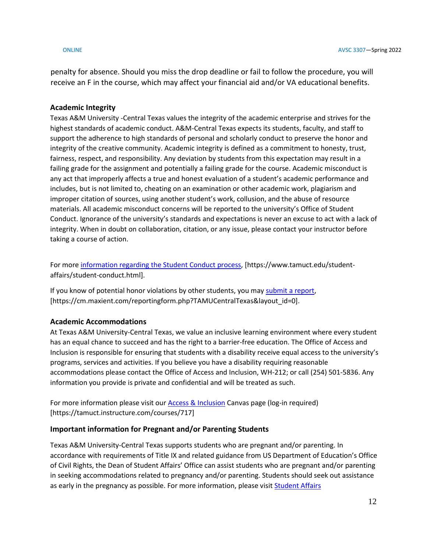penalty for absence. Should you miss the drop deadline or fail to follow the procedure, you will receive an F in the course, which may affect your financial aid and/or VA educational benefits.

## **Academic Integrity**

Texas A&M University -Central Texas values the integrity of the academic enterprise and strives for the highest standards of academic conduct. A&M-Central Texas expects its students, faculty, and staff to support the adherence to high standards of personal and scholarly conduct to preserve the honor and integrity of the creative community. Academic integrity is defined as a commitment to honesty, trust, fairness, respect, and responsibility. Any deviation by students from this expectation may result in a failing grade for the assignment and potentially a failing grade for the course. Academic misconduct is any act that improperly affects a true and honest evaluation of a student's academic performance and includes, but is not limited to, cheating on an examination or other academic work, plagiarism and improper citation of sources, using another student's work, collusion, and the abuse of resource materials. All academic misconduct concerns will be reported to the university's Office of Student Conduct. Ignorance of the university's standards and expectations is never an excuse to act with a lack of integrity. When in doubt on collaboration, citation, or any issue, please contact your instructor before taking a course of action.

For more information regarding [the Student Conduct process,](https://www.tamuct.edu/student-affairs/student-conduct.html) [https://www.tamuct.edu/studentaffairs/student-conduct.html].

If you know of potential honor violations by other students, you may [submit a](https://cm.maxient.com/reportingform.php?TAMUCentralTexas&layout_id=0) report, [https://cm.maxient.com/reportingform.php?TAMUCentralTexas&layout\_id=0].

# **Academic Accommodations**

At Texas A&M University-Central Texas, we value an inclusive learning environment where every student has an equal chance to succeed and has the right to a barrier-free education. The Office of Access and Inclusion is responsible for ensuring that students with a disability receive equal access to the university's programs, services and activities. If you believe you have a disability requiring reasonable accommodations please contact the Office of Access and Inclusion, WH-212; or call (254) 501-5836. Any information you provide is private and confidential and will be treated as such.

For more information please visit our [Access & Inclusion](https://tamuct.instructure.com/courses/717) Canvas page (log-in required) [https://tamuct.instructure.com/courses/717]

# **Important information for Pregnant and/or Parenting Students**

Texas A&M University-Central Texas supports students who are pregnant and/or parenting. In accordance with requirements of Title IX and related guidance from US Department of Education's Office of Civil Rights, the Dean of Student Affairs' Office can assist students who are pregnant and/or parenting in seeking accommodations related to pregnancy and/or parenting. Students should seek out assistance as early in the pregnancy as possible. For more information, please visi[t Student Affairs](https://www.tamuct.edu/student-affairs/index.html)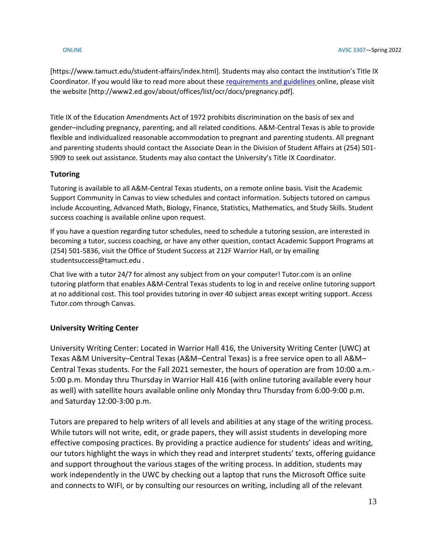[https://www.tamuct.edu/student-affairs/index.html]. Students may also contact the institution's Title IX Coordinator. If you would like to read more about these [requirements and guidelines](http://www2.ed.gov/about/offices/list/ocr/docs/pregnancy.pdf) online, please visit the website [http://www2.ed.gov/about/offices/list/ocr/docs/pregnancy.pdf].

Title IX of the Education Amendments Act of 1972 prohibits discrimination on the basis of sex and gender–including pregnancy, parenting, and all related conditions. A&M-Central Texas is able to provide flexible and individualized reasonable accommodation to pregnant and parenting students. All pregnant and parenting students should contact the Associate Dean in the Division of Student Affairs at (254) 501- 5909 to seek out assistance. Students may also contact the University's Title IX Coordinator.

# **Tutoring**

Tutoring is available to all A&M-Central Texas students, on a remote online basis. Visit the Academic Support Community in Canvas to view schedules and contact information. Subjects tutored on campus include Accounting, Advanced Math, Biology, Finance, Statistics, Mathematics, and Study Skills. Student success coaching is available online upon request.

If you have a question regarding tutor schedules, need to schedule a tutoring session, are interested in becoming a tutor, success coaching, or have any other question, contact Academic Support Programs at (254) 501-5836, visit the Office of Student Success at 212F Warrior Hall, or by emailing studentsuccess@tamuct.edu .

Chat live with a tutor 24/7 for almost any subject from on your computer! Tutor.com is an online tutoring platform that enables A&M-Central Texas students to log in and receive online tutoring support at no additional cost. This tool provides tutoring in over 40 subject areas except writing support. Access Tutor.com through Canvas.

### **University Writing Center**

University Writing Center: Located in Warrior Hall 416, the University Writing Center (UWC) at Texas A&M University–Central Texas (A&M–Central Texas) is a free service open to all A&M– Central Texas students. For the Fall 2021 semester, the hours of operation are from 10:00 a.m.- 5:00 p.m. Monday thru Thursday in Warrior Hall 416 (with online tutoring available every hour as well) with satellite hours available online only Monday thru Thursday from 6:00-9:00 p.m. and Saturday 12:00-3:00 p.m.

Tutors are prepared to help writers of all levels and abilities at any stage of the writing process. While tutors will not write, edit, or grade papers, they will assist students in developing more effective composing practices. By providing a practice audience for students' ideas and writing, our tutors highlight the ways in which they read and interpret students' texts, offering guidance and support throughout the various stages of the writing process. In addition, students may work independently in the UWC by checking out a laptop that runs the Microsoft Office suite and connects to WIFI, or by consulting our resources on writing, including all of the relevant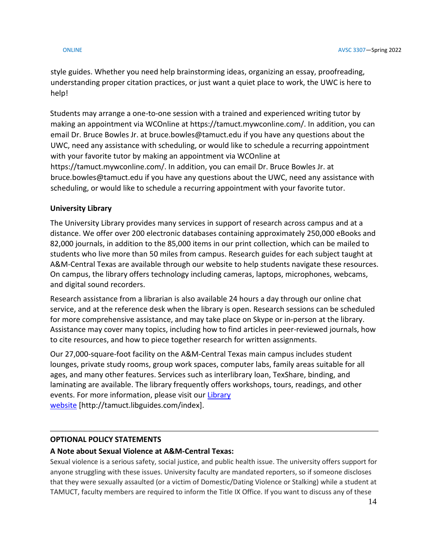style guides. Whether you need help brainstorming ideas, organizing an essay, proofreading, understanding proper citation practices, or just want a quiet place to work, the UWC is here to help!

Students may arrange a one-to-one session with a trained and experienced writing tutor by making an appointment via WCOnline at https://tamuct.mywconline.com/. In addition, you can email Dr. Bruce Bowles Jr. at bruce.bowles@tamuct.edu if you have any questions about the UWC, need any assistance with scheduling, or would like to schedule a recurring appointment with your favorite tutor by making an appointment via WCOnline at https://tamuct.mywconline.com/. In addition, you can email Dr. Bruce Bowles Jr. at bruce.bowles@tamuct.edu if you have any questions about the UWC, need any assistance with scheduling, or would like to schedule a recurring appointment with your favorite tutor.

# **University Library**

The University Library provides many services in support of research across campus and at a distance. We offer over 200 electronic databases containing approximately 250,000 eBooks and 82,000 journals, in addition to the 85,000 items in our print collection, which can be mailed to students who live more than 50 miles from campus. Research guides for each subject taught at A&M-Central Texas are available through our website to help students navigate these resources. On campus, the library offers technology including cameras, laptops, microphones, webcams, and digital sound recorders.

Research assistance from a librarian is also available 24 hours a day through our online chat service, and at the reference desk when the library is open. Research sessions can be scheduled for more comprehensive assistance, and may take place on Skype or in-person at the library. Assistance may cover many topics, including how to find articles in peer-reviewed journals, how to cite resources, and how to piece together research for written assignments.

Our 27,000-square-foot facility on the A&M-Central Texas main campus includes student lounges, private study rooms, group work spaces, computer labs, family areas suitable for all ages, and many other features. Services such as interlibrary loan, TexShare, binding, and laminating are available. The library frequently offers workshops, tours, readings, and other events. For more information, please visit our [Library](https://tamuct.libguides.com/index) [website](https://tamuct.libguides.com/index) [http://tamuct.libguides.com/index].

# **OPTIONAL POLICY STATEMENTS**

# **A Note about Sexual Violence at A&M-Central Texas:**

Sexual violence is a serious safety, social justice, and public health issue. The university offers support for anyone struggling with these issues. University faculty are mandated reporters, so if someone discloses that they were sexually assaulted (or a victim of Domestic/Dating Violence or Stalking) while a student at TAMUCT, faculty members are required to inform the Title IX Office. If you want to discuss any of these